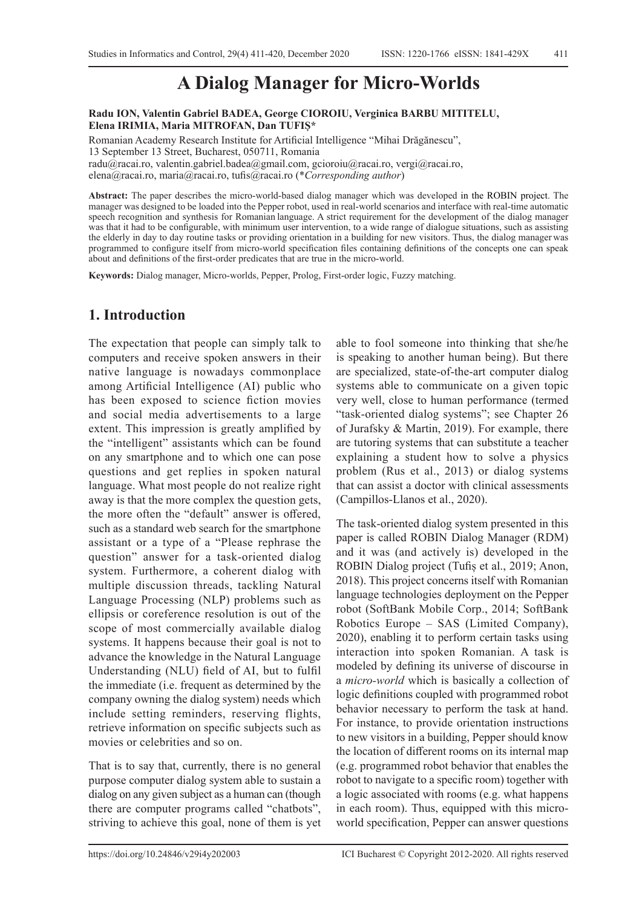# **A Dialog Manager for Micro-Worlds**

**Radu ION, Valentin Gabriel BADEA, George CIOROIU, Verginica BARBU MITITELU, Elena IRIMIA, Maria MITROFAN, Dan TUFIȘ\***

Romanian Academy Research Institute for Artificial Intelligence "Mihai Drăgănescu", 13 September 13 Street, Bucharest, 050711, Romania radu@racai.ro, valentin.gabriel.badea@gmail.com, gcioroiu@racai.ro, vergi@racai.ro, elena@racai.ro, maria@racai.ro, tufis@racai.ro (\**Corresponding author*)

**Abstract:** The paper describes the micro-world-based dialog manager which was developed in the ROBIN project. The manager was designed to be loaded into the Pepper robot, used in real-world scenarios and interface with real-time automatic speech recognition and synthesis for Romanian language. A strict requirement for the development of the dialog manager was that it had to be configurable, with minimum user intervention, to a wide range of dialogue situations, such as assisting the elderly in day to day routine tasks or providing orientation in a building for new visitors. Thus, the dialog manager was programmed to configure itself from micro-world specification files containing definitions of the concepts one can speak about and definitions of the first-order predicates that are true in the micro-world.

**Keywords:** Dialog manager, Micro-worlds, Pepper, Prolog, First-order logic, Fuzzy matching.

#### **1. Introduction**

The expectation that people can simply talk to computers and receive spoken answers in their native language is nowadays commonplace among Artificial Intelligence (AI) public who has been exposed to science fiction movies and social media advertisements to a large extent. This impression is greatly amplified by the "intelligent" assistants which can be found on any smartphone and to which one can pose questions and get replies in spoken natural language. What most people do not realize right away is that the more complex the question gets, the more often the "default" answer is offered, such as a standard web search for the smartphone assistant or a type of a "Please rephrase the question" answer for a task-oriented dialog system. Furthermore, a coherent dialog with multiple discussion threads, tackling Natural Language Processing (NLP) problems such as ellipsis or coreference resolution is out of the scope of most commercially available dialog systems. It happens because their goal is not to advance the knowledge in the Natural Language Understanding (NLU) field of AI, but to fulfil the immediate (i.e. frequent as determined by the company owning the dialog system) needs which include setting reminders, reserving flights, retrieve information on specific subjects such as movies or celebrities and so on.

That is to say that, currently, there is no general purpose computer dialog system able to sustain a dialog on any given subject as a human can (though there are computer programs called "chatbots", striving to achieve this goal, none of them is yet able to fool someone into thinking that she/he is speaking to another human being). But there are specialized, state-of-the-art computer dialog systems able to communicate on a given topic very well, close to human performance (termed "task-oriented dialog systems"; see Chapter 26 of Jurafsky & Martin, 2019). For example, there are tutoring systems that can substitute a teacher explaining a student how to solve a physics problem (Rus et al., 2013) or dialog systems that can assist a doctor with clinical assessments (Campillos-Llanos et al., 2020).

The task-oriented dialog system presented in this paper is called ROBIN Dialog Manager (RDM) and it was (and actively is) developed in the ROBIN Dialog project (Tufiș et al., 2019; Anon, 2018). This project concerns itself with Romanian language technologies deployment on the Pepper robot (SoftBank Mobile Corp., 2014; SoftBank Robotics Europe – SAS (Limited Company), 2020), enabling it to perform certain tasks using interaction into spoken Romanian. A task is modeled by defining its universe of discourse in a *micro-world* which is basically a collection of logic definitions coupled with programmed robot behavior necessary to perform the task at hand. For instance, to provide orientation instructions to new visitors in a building, Pepper should know the location of different rooms on its internal map (e.g. programmed robot behavior that enables the robot to navigate to a specific room) together with a logic associated with rooms (e.g. what happens in each room). Thus, equipped with this microworld specification, Pepper can answer questions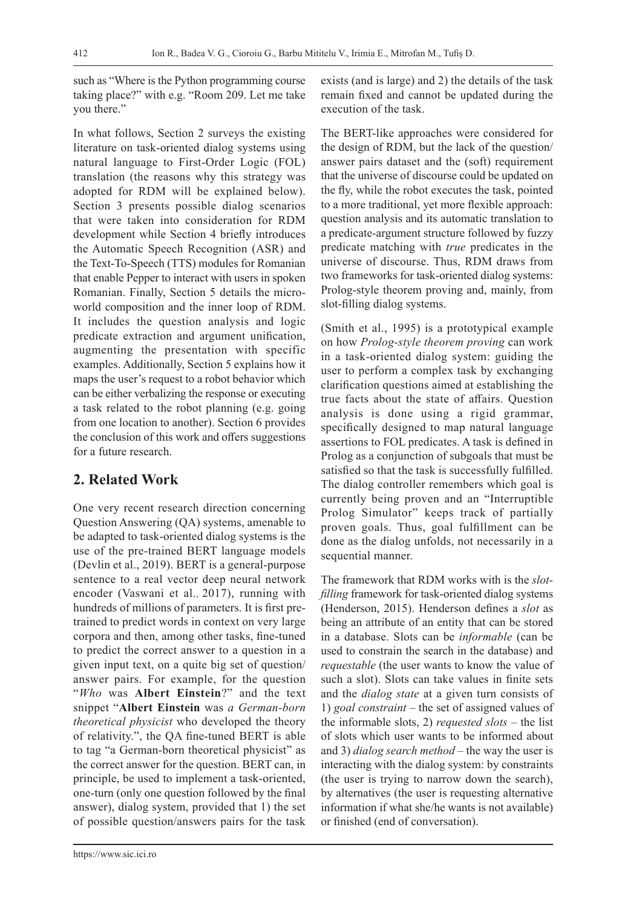such as "Where is the Python programming course taking place?" with e.g. "Room 209. Let me take you there."

In what follows, Section 2 surveys the existing literature on task-oriented dialog systems using natural language to First-Order Logic (FOL) translation (the reasons why this strategy was adopted for RDM will be explained below). Section 3 presents possible dialog scenarios that were taken into consideration for RDM development while Section 4 briefly introduces the Automatic Speech Recognition (ASR) and the Text-To-Speech (TTS) modules for Romanian that enable Pepper to interact with users in spoken Romanian. Finally, Section 5 details the microworld composition and the inner loop of RDM. It includes the question analysis and logic predicate extraction and argument unification, augmenting the presentation with specific examples. Additionally, Section 5 explains how it maps the user's request to a robot behavior which can be either verbalizing the response or executing a task related to the robot planning (e.g. going from one location to another). Section 6 provides the conclusion of this work and offers suggestions for a future research.

# **2. Related Work**

One very recent research direction concerning Question Answering (QA) systems, amenable to be adapted to task-oriented dialog systems is the use of the pre-trained BERT language models (Devlin et al., 2019). BERT is a general-purpose sentence to a real vector deep neural network encoder (Vaswani et al., 2017), running with hundreds of millions of parameters. It is first pretrained to predict words in context on very large corpora and then, among other tasks, fine-tuned to predict the correct answer to a question in a given input text, on a quite big set of question/ answer pairs. For example, for the question "*Who* was **Albert Einstein**?" and the text snippet "**Albert Einstein** was *a German-born theoretical physicist* who developed the theory of relativity.", the QA fine-tuned BERT is able to tag "a German-born theoretical physicist" as the correct answer for the question. BERT can, in principle, be used to implement a task-oriented, one-turn (only one question followed by the final answer), dialog system, provided that 1) the set of possible question/answers pairs for the task exists (and is large) and 2) the details of the task remain fixed and cannot be updated during the execution of the task.

The BERT-like approaches were considered for the design of RDM, but the lack of the question/ answer pairs dataset and the (soft) requirement that the universe of discourse could be updated on the fly, while the robot executes the task, pointed to a more traditional, yet more flexible approach: question analysis and its automatic translation to a predicate-argument structure followed by fuzzy predicate matching with *true* predicates in the universe of discourse. Thus, RDM draws from two frameworks for task-oriented dialog systems: Prolog-style theorem proving and, mainly, from slot-filling dialog systems.

(Smith et al., 1995) is a prototypical example on how *Prolog-style theorem proving* can work in a task-oriented dialog system: guiding the user to perform a complex task by exchanging clarification questions aimed at establishing the true facts about the state of affairs. Question analysis is done using a rigid grammar, specifically designed to map natural language assertions to FOL predicates. A task is defined in Prolog as a conjunction of subgoals that must be satisfied so that the task is successfully fulfilled. The dialog controller remembers which goal is currently being proven and an "Interruptible Prolog Simulator" keeps track of partially proven goals. Thus, goal fulfillment can be done as the dialog unfolds, not necessarily in a sequential manner.

The framework that RDM works with is the *slotfilling* framework for task-oriented dialog systems (Henderson, 2015). Henderson defines a *slot* as being an attribute of an entity that can be stored in a database. Slots can be *informable* (can be used to constrain the search in the database) and *requestable* (the user wants to know the value of such a slot). Slots can take values in finite sets and the *dialog state* at a given turn consists of 1) *goal constraint* – the set of assigned values of the informable slots, 2) *requested slots* – the list of slots which user wants to be informed about and 3) *dialog search method* – the way the user is interacting with the dialog system: by constraints (the user is trying to narrow down the search), by alternatives (the user is requesting alternative information if what she/he wants is not available) or finished (end of conversation).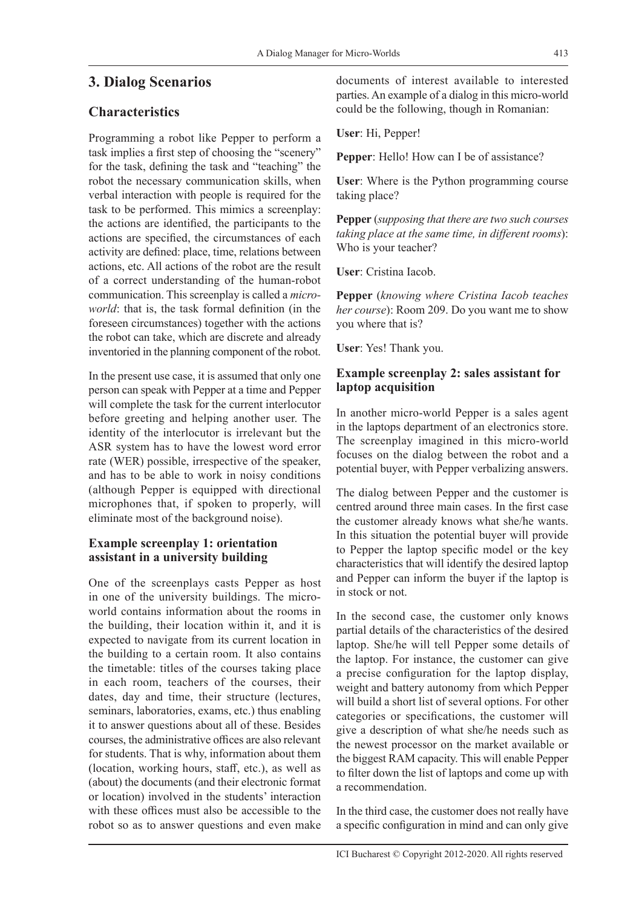# **3. Dialog Scenarios**

# **Characteristics**

Programming a robot like Pepper to perform a task implies a first step of choosing the "scenery" for the task, defining the task and "teaching" the robot the necessary communication skills, when verbal interaction with people is required for the task to be performed. This mimics a screenplay: the actions are identified, the participants to the actions are specified, the circumstances of each activity are defined: place, time, relations between actions, etc. All actions of the robot are the result of a correct understanding of the human-robot communication. This screenplay is called a *microworld*: that is, the task formal definition (in the foreseen circumstances) together with the actions the robot can take, which are discrete and already inventoried in the planning component of the robot.

In the present use case, it is assumed that only one person can speak with Pepper at a time and Pepper will complete the task for the current interlocutor before greeting and helping another user. The identity of the interlocutor is irrelevant but the ASR system has to have the lowest word error rate (WER) possible, irrespective of the speaker, and has to be able to work in noisy conditions (although Pepper is equipped with directional microphones that, if spoken to properly, will eliminate most of the background noise).

#### **Example screenplay 1: orientation assistant in a university building**

One of the screenplays casts Pepper as host in one of the university buildings. The microworld contains information about the rooms in the building, their location within it, and it is expected to navigate from its current location in the building to a certain room. It also contains the timetable: titles of the courses taking place in each room, teachers of the courses, their dates, day and time, their structure (lectures, seminars, laboratories, exams, etc.) thus enabling it to answer questions about all of these. Besides courses, the administrative offices are also relevant for students. That is why, information about them (location, working hours, staff, etc.), as well as (about) the documents (and their electronic format or location) involved in the students' interaction with these offices must also be accessible to the robot so as to answer questions and even make

documents of interest available to interested parties. An example of a dialog in this micro-world could be the following, though in Romanian:

**User**: Hi, Pepper!

**Pepper**: Hello! How can I be of assistance?

**User**: Where is the Python programming course taking place?

**Pepper** (*supposing that there are two such courses taking place at the same time, in different rooms*): Who is your teacher?

**User**: Cristina Iacob.

**Pepper** (*knowing where Cristina Iacob teaches her course*): Room 209. Do you want me to show you where that is?

**User**: Yes! Thank you.

#### **Example screenplay 2: sales assistant for laptop acquisition**

In another micro-world Pepper is a sales agent in the laptops department of an electronics store. The screenplay imagined in this micro-world focuses on the dialog between the robot and a potential buyer, with Pepper verbalizing answers.

The dialog between Pepper and the customer is centred around three main cases. In the first case the customer already knows what she/he wants. In this situation the potential buyer will provide to Pepper the laptop specific model or the key characteristics that will identify the desired laptop and Pepper can inform the buyer if the laptop is in stock or not.

In the second case, the customer only knows partial details of the characteristics of the desired laptop. She/he will tell Pepper some details of the laptop. For instance, the customer can give a precise configuration for the laptop display, weight and battery autonomy from which Pepper will build a short list of several options. For other categories or specifications, the customer will give a description of what she/he needs such as the newest processor on the market available or the biggest RAM capacity. This will enable Pepper to filter down the list of laptops and come up with a recommendation.

In the third case, the customer does not really have a specific configuration in mind and can only give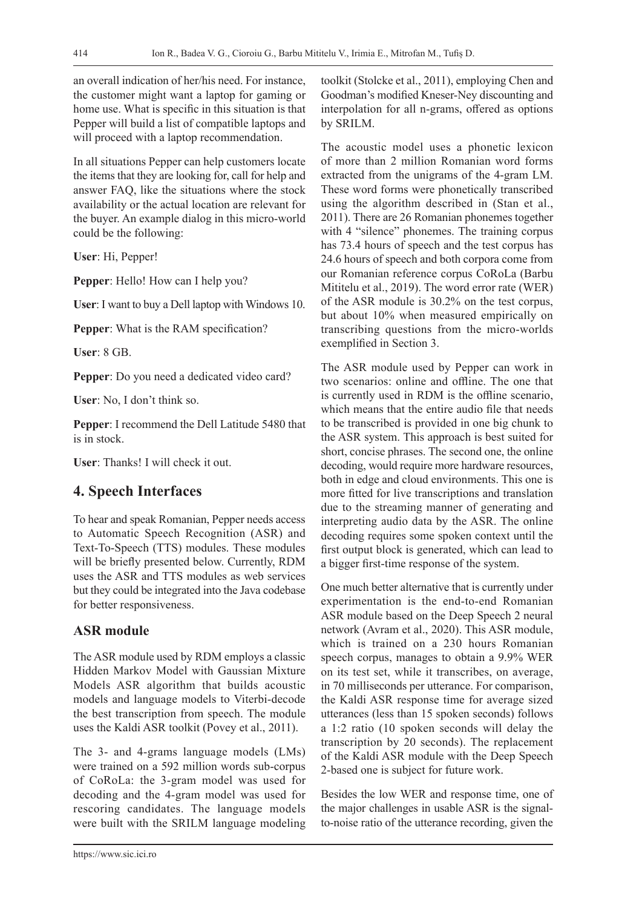an overall indication of her/his need. For instance, the customer might want a laptop for gaming or home use. What is specific in this situation is that Pepper will build a list of compatible laptops and will proceed with a laptop recommendation.

In all situations Pepper can help customers locate the items that they are looking for, call for help and answer FAQ, like the situations where the stock availability or the actual location are relevant for the buyer. An example dialog in this micro-world could be the following:

**User**: Hi, Pepper!

**Pepper**: Hello! How can I help you?

**User**: I want to buy a Dell laptop with Windows 10.

**Pepper**: What is the RAM specification?

**User**: 8 GB.

**Pepper**: Do you need a dedicated video card?

**User**: No, I don't think so.

**Pepper**: I recommend the Dell Latitude 5480 that is in stock.

**User**: Thanks! I will check it out.

# **4. Speech Interfaces**

To hear and speak Romanian, Pepper needs access to Automatic Speech Recognition (ASR) and Text-To-Speech (TTS) modules. These modules will be briefly presented below. Currently, RDM uses the ASR and TTS modules as web services but they could be integrated into the Java codebase for better responsiveness.

### **ASR module**

The ASR module used by RDM employs a classic Hidden Markov Model with Gaussian Mixture Models ASR algorithm that builds acoustic models and language models to Viterbi-decode the best transcription from speech. The module uses the Kaldi ASR toolkit (Povey et al., 2011).

The 3- and 4-grams language models (LMs) were trained on a 592 million words sub-corpus of CoRoLa: the 3-gram model was used for decoding and the 4-gram model was used for rescoring candidates. The language models were built with the SRILM language modeling

toolkit (Stolcke et al., 2011), employing Chen and Goodman's modified Kneser-Ney discounting and interpolation for all n-grams, offered as options by SRILM.

The acoustic model uses a phonetic lexicon of more than 2 million Romanian word forms extracted from the unigrams of the 4-gram LM. These word forms were phonetically transcribed using the algorithm described in (Stan et al., 2011). There are 26 Romanian phonemes together with 4 "silence" phonemes. The training corpus has 73.4 hours of speech and the test corpus has 24.6 hours of speech and both corpora come from our Romanian reference corpus CoRoLa (Barbu Mititelu et al., 2019). The word error rate (WER) of the ASR module is 30.2% on the test corpus, but about 10% when measured empirically on transcribing questions from the micro-worlds exemplified in Section 3.

The ASR module used by Pepper can work in two scenarios: online and offline. The one that is currently used in RDM is the offline scenario, which means that the entire audio file that needs to be transcribed is provided in one big chunk to the ASR system. This approach is best suited for short, concise phrases. The second one, the online decoding, would require more hardware resources, both in edge and cloud environments. This one is more fitted for live transcriptions and translation due to the streaming manner of generating and interpreting audio data by the ASR. The online decoding requires some spoken context until the first output block is generated, which can lead to a bigger first-time response of the system.

One much better alternative that is currently under experimentation is the end-to-end Romanian ASR module based on the Deep Speech 2 neural network (Avram et al., 2020). This ASR module, which is trained on a 230 hours Romanian speech corpus, manages to obtain a 9.9% WER on its test set, while it transcribes, on average, in 70 milliseconds per utterance. For comparison, the Kaldi ASR response time for average sized utterances (less than 15 spoken seconds) follows a 1:2 ratio (10 spoken seconds will delay the transcription by 20 seconds). The replacement of the Kaldi ASR module with the Deep Speech 2-based one is subject for future work.

Besides the low WER and response time, one of the major challenges in usable ASR is the signalto-noise ratio of the utterance recording, given the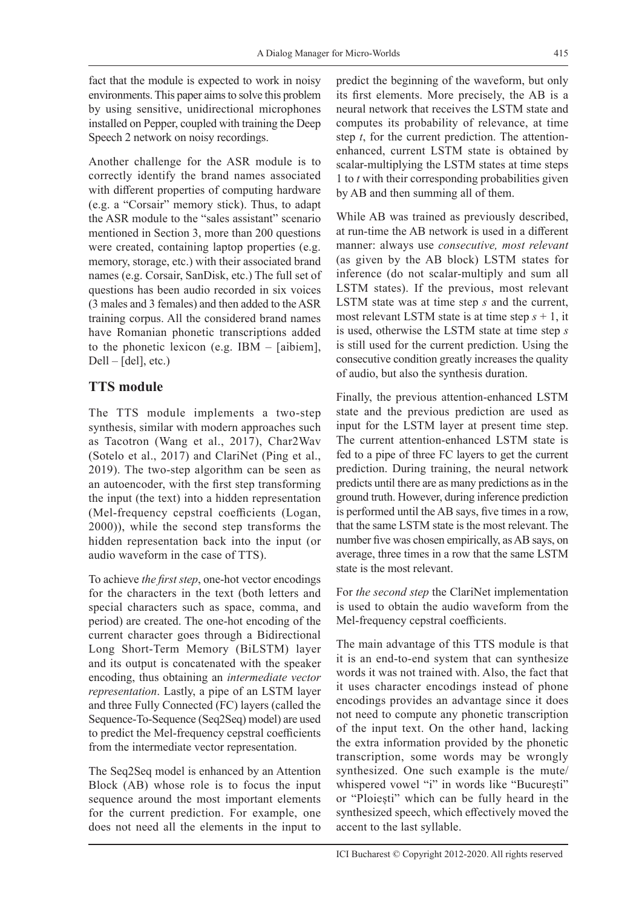fact that the module is expected to work in noisy environments. This paper aims to solve this problem by using sensitive, unidirectional microphones installed on Pepper, coupled with training the Deep Speech 2 network on noisy recordings.

Another challenge for the ASR module is to correctly identify the brand names associated with different properties of computing hardware (e.g. a "Corsair" memory stick). Thus, to adapt the ASR module to the "sales assistant" scenario mentioned in Section 3, more than 200 questions were created, containing laptop properties (e.g. memory, storage, etc.) with their associated brand names (e.g. Corsair, SanDisk, etc.) The full set of questions has been audio recorded in six voices (3 males and 3 females) and then added to the ASR training corpus. All the considered brand names have Romanian phonetic transcriptions added to the phonetic lexicon (e.g. IBM – [aibiem],  $Dell - [del], etc.)$ 

# **TTS module**

The TTS module implements a two-step synthesis, similar with modern approaches such as Tacotron (Wang et al., 2017), Char2Wav (Sotelo et al., 2017) and ClariNet (Ping et al., 2019). The two-step algorithm can be seen as an autoencoder, with the first step transforming the input (the text) into a hidden representation (Mel-frequency cepstral coefficients (Logan, 2000)), while the second step transforms the hidden representation back into the input (or audio waveform in the case of TTS).

To achieve *the first step*, one-hot vector encodings for the characters in the text (both letters and special characters such as space, comma, and period) are created. The one-hot encoding of the current character goes through a Bidirectional Long Short-Term Memory (BiLSTM) layer and its output is concatenated with the speaker encoding, thus obtaining an *intermediate vector representation*. Lastly, a pipe of an LSTM layer and three Fully Connected (FC) layers (called the Sequence-To-Sequence (Seq2Seq) model) are used to predict the Mel-frequency cepstral coefficients from the intermediate vector representation.

The Seq2Seq model is enhanced by an Attention Block (AB) whose role is to focus the input sequence around the most important elements for the current prediction. For example, one does not need all the elements in the input to predict the beginning of the waveform, but only its first elements. More precisely, the AB is a neural network that receives the LSTM state and computes its probability of relevance, at time step *t*, for the current prediction. The attentionenhanced, current LSTM state is obtained by scalar-multiplying the LSTM states at time steps 1 to *t* with their corresponding probabilities given by AB and then summing all of them.

While AB was trained as previously described, at run-time the AB network is used in a different manner: always use *consecutive, most relevant* (as given by the AB block) LSTM states for inference (do not scalar-multiply and sum all LSTM states). If the previous, most relevant LSTM state was at time step *s* and the current, most relevant LSTM state is at time step  $s + 1$ , it is used, otherwise the LSTM state at time step *s* is still used for the current prediction. Using the consecutive condition greatly increases the quality of audio, but also the synthesis duration.

Finally, the previous attention-enhanced LSTM state and the previous prediction are used as input for the LSTM layer at present time step. The current attention-enhanced LSTM state is fed to a pipe of three FC layers to get the current prediction. During training, the neural network predicts until there are as many predictions as in the ground truth. However, during inference prediction is performed until the AB says, five times in a row, that the same LSTM state is the most relevant. The number five was chosen empirically, as AB says, on average, three times in a row that the same LSTM state is the most relevant.

For *the second step* the ClariNet implementation is used to obtain the audio waveform from the Mel-frequency cepstral coefficients.

The main advantage of this TTS module is that it is an end-to-end system that can synthesize words it was not trained with. Also, the fact that it uses character encodings instead of phone encodings provides an advantage since it does not need to compute any phonetic transcription of the input text. On the other hand, lacking the extra information provided by the phonetic transcription, some words may be wrongly synthesized. One such example is the mute/ whispered vowel "i" in words like "București" or "Ploiești" which can be fully heard in the synthesized speech, which effectively moved the accent to the last syllable.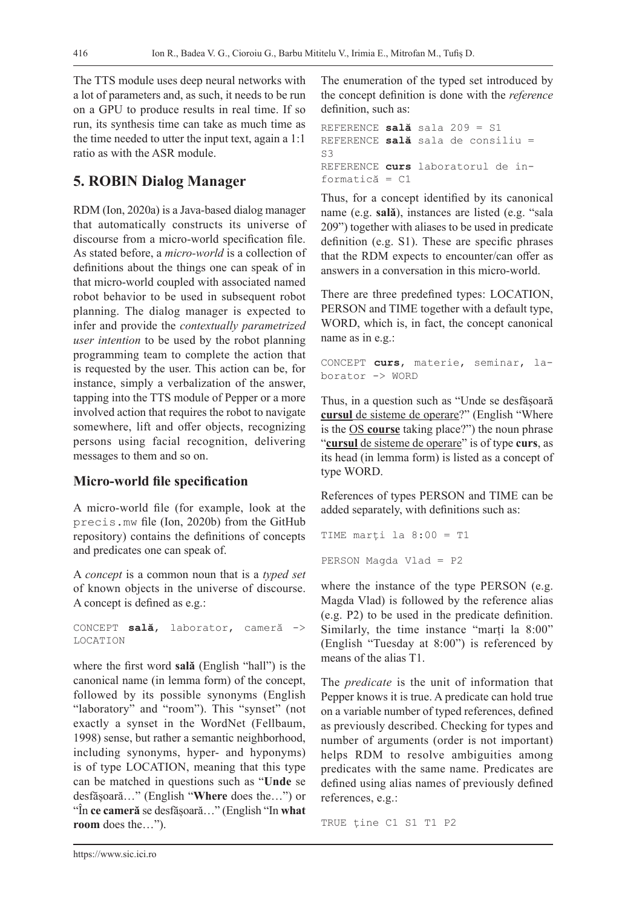The TTS module uses deep neural networks with a lot of parameters and, as such, it needs to be run on a GPU to produce results in real time. If so run, its synthesis time can take as much time as the time needed to utter the input text, again a 1:1 ratio as with the ASR module.

### **5. ROBIN Dialog Manager**

RDM (Ion, 2020a) is a Java-based dialog manager that automatically constructs its universe of discourse from a micro-world specification file. As stated before, a *micro-world* is a collection of definitions about the things one can speak of in that micro-world coupled with associated named robot behavior to be used in subsequent robot planning. The dialog manager is expected to infer and provide the *contextually parametrized user intention* to be used by the robot planning programming team to complete the action that is requested by the user. This action can be, for instance, simply a verbalization of the answer, tapping into the TTS module of Pepper or a more involved action that requires the robot to navigate somewhere, lift and offer objects, recognizing persons using facial recognition, delivering messages to them and so on.

#### **Micro-world file specification**

A micro-world file (for example, look at the precis.mw file (Ion, 2020b) from the GitHub repository) contains the definitions of concepts and predicates one can speak of.

A *concept* is a common noun that is a *typed set* of known objects in the universe of discourse. A concept is defined as e.g.:

CONCEPT **sală**, laborator, cameră -> LOCATION

where the first word **sală** (English "hall") is the canonical name (in lemma form) of the concept, followed by its possible synonyms (English "laboratory" and "room"). This "synset" (not exactly a synset in the WordNet (Fellbaum, 1998) sense, but rather a semantic neighborhood, including synonyms, hyper- and hyponyms) is of type LOCATION, meaning that this type can be matched in questions such as "**Unde** se desfășoară…" (English "**Where** does the…") or "În **ce cameră** se desfășoară…" (English "In **what room** does the…").

The enumeration of the typed set introduced by the concept definition is done with the *reference* definition, such as:

```
REFERENCE sală sala 209 = S1
REFERENCE sală sala de consiliu = 
C<sub>3</sub>REFERENCE curs laboratorul de in-
formatică = C1
```
Thus, for a concept identified by its canonical name (e.g. **sală**), instances are listed (e.g. "sala 209") together with aliases to be used in predicate definition (e.g. S1). These are specific phrases that the RDM expects to encounter/can offer as answers in a conversation in this micro-world.

There are three predefined types: LOCATION, PERSON and TIME together with a default type, WORD, which is, in fact, the concept canonical name as in e.g.:

```
CONCEPT curs, materie, seminar, la-
borator -> WORD
```
Thus, in a question such as "Unde se desfășoară **cursul** de sisteme de operare?" (English "Where is the OS **course** taking place?") the noun phrase "**cursul** de sisteme de operare" is of type **curs**, as its head (in lemma form) is listed as a concept of type WORD.

References of types PERSON and TIME can be added separately, with definitions such as:

```
TIME marți la 8:00 = T1
PERSON Magda Vlad = P2
```
where the instance of the type PERSON (e.g. Magda Vlad) is followed by the reference alias (e.g. P2) to be used in the predicate definition. Similarly, the time instance "marți la 8:00" (English "Tuesday at 8:00") is referenced by means of the alias T1.

The *predicate* is the unit of information that Pepper knows it is true. A predicate can hold true on a variable number of typed references, defined as previously described. Checking for types and number of arguments (order is not important) helps RDM to resolve ambiguities among predicates with the same name. Predicates are defined using alias names of previously defined references, e.g.:

TRUE ține C1 S1 T1 P2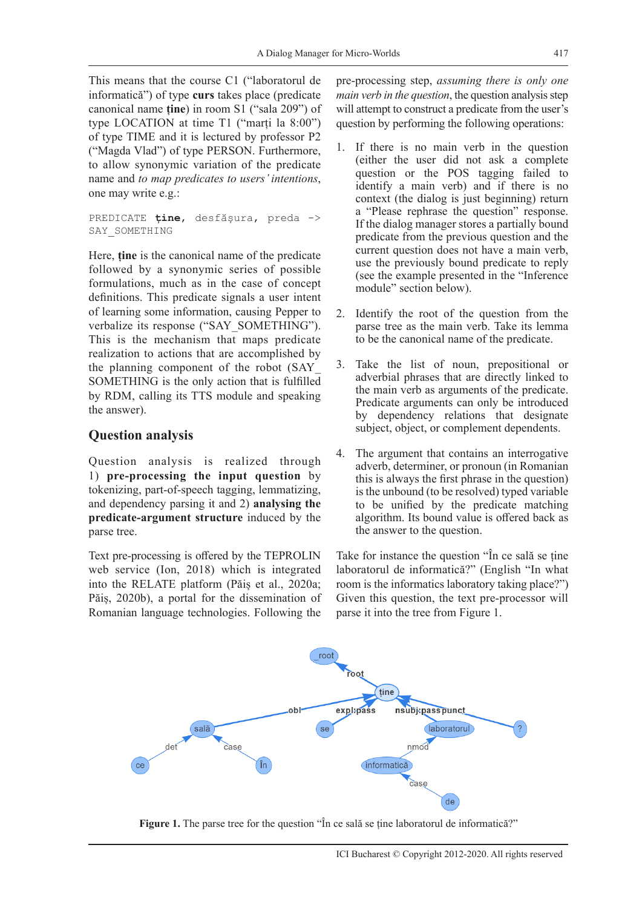This means that the course C1 ("laboratorul de informatică") of type **curs** takes place (predicate canonical name **ține**) in room S1 ("sala 209") of type LOCATION at time T1 ("marți la 8:00") of type TIME and it is lectured by professor P2 ("Magda Vlad") of type PERSON. Furthermore, to allow synonymic variation of the predicate name and *to map predicates to users' intentions*, one may write e.g.:

PREDICATE **ține**, desfășura, preda -> SAY\_SOMETHING

Here, **ține** is the canonical name of the predicate followed by a synonymic series of possible formulations, much as in the case of concept definitions. This predicate signals a user intent of learning some information, causing Pepper to verbalize its response ("SAY\_SOMETHING"). This is the mechanism that maps predicate realization to actions that are accomplished by the planning component of the robot (SAY\_ SOMETHING is the only action that is fulfilled by RDM, calling its TTS module and speaking the answer).

#### **Question analysis**

Question analysis is realized through 1) **pre-processing the input question** by tokenizing, part-of-speech tagging, lemmatizing, and dependency parsing it and 2) **analysing the predicate-argument structure** induced by the parse tree.

Text pre-processing is offered by the TEPROLIN web service (Ion, 2018) which is integrated into the RELATE platform (Păiș et al., 2020a; Păiș, 2020b), a portal for the dissemination of Romanian language technologies. Following the

pre-processing step, *assuming there is only one main verb in the question*, the question analysis step will attempt to construct a predicate from the user's question by performing the following operations:

- 1. If there is no main verb in the question (either the user did not ask a complete question or the POS tagging failed to identify a main verb) and if there is no context (the dialog is just beginning) return a "Please rephrase the question" response. If the dialog manager stores a partially bound predicate from the previous question and the current question does not have a main verb, use the previously bound predicate to reply (see the example presented in the "Inference module" section below).
- 2. Identify the root of the question from the parse tree as the main verb. Take its lemma to be the canonical name of the predicate.
- 3. Take the list of noun, prepositional or adverbial phrases that are directly linked to the main verb as arguments of the predicate. Predicate arguments can only be introduced by dependency relations that designate subject, object, or complement dependents.
- 4. The argument that contains an interrogative adverb, determiner, or pronoun (in Romanian this is always the first phrase in the question) is the unbound (to be resolved) typed variable to be unified by the predicate matching algorithm. Its bound value is offered back as the answer to the question.

Take for instance the question "În ce sală se ține laboratorul de informatică?" (English "In what room is the informatics laboratory taking place?") Given this question, the text pre-processor will parse it into the tree from Figure 1.



**Figure 1.** The parse tree for the question "În ce sală se tine laboratorul de informatică?"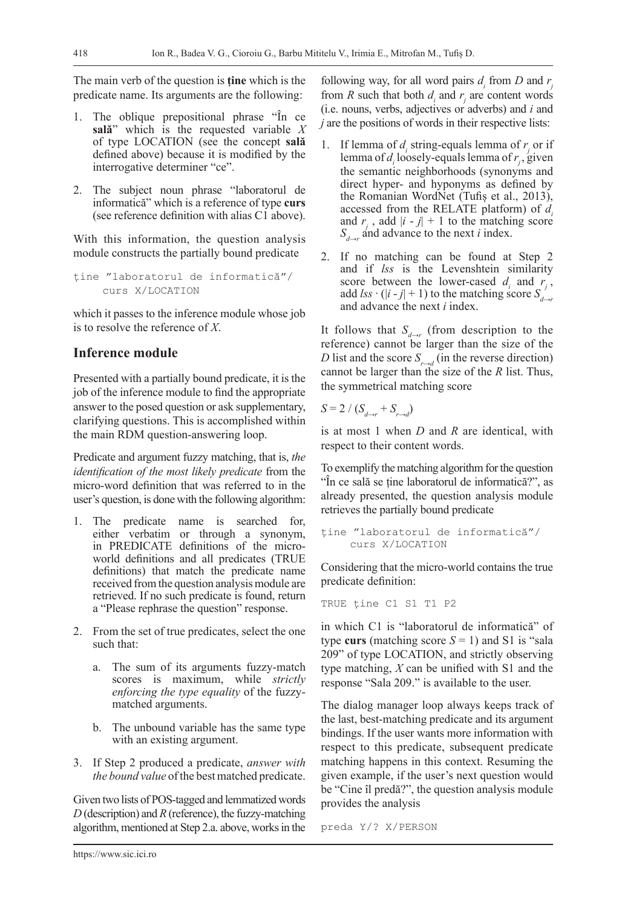The main verb of the question is **ține** which is the predicate name. Its arguments are the following:

- 1. The oblique prepositional phrase "În ce **sală**" which is the requested variable *X* of type LOCATION (see the concept **sală** defined above) because it is modified by the interrogative determiner "ce".
- 2. The subject noun phrase "laboratorul de informatică" which is a reference of type **curs** (see reference definition with alias C1 above).

With this information, the question analysis module constructs the partially bound predicate

ține "laboratorul de informatică"/ curs X/LOCATION

which it passes to the inference module whose job is to resolve the reference of *X*.

#### **Inference module**

Presented with a partially bound predicate, it is the job of the inference module to find the appropriate answer to the posed question or ask supplementary, clarifying questions. This is accomplished within the main RDM question-answering loop.

Predicate and argument fuzzy matching, that is, *the identification of the most likely predicate* from the micro-word definition that was referred to in the user's question, is done with the following algorithm:

- 1. The predicate name is searched for, either verbatim or through a synonym, in PREDICATE definitions of the microworld definitions and all predicates (TRUE definitions) that match the predicate name received from the question analysis module are retrieved. If no such predicate is found, return a "Please rephrase the question" response.
- 2. From the set of true predicates, select the one such that:
	- a. The sum of its arguments fuzzy-match scores is maximum, while *strictly enforcing the type equality* of the fuzzymatched arguments.
	- b. The unbound variable has the same type with an existing argument.
- 3. If Step 2 produced a predicate, *answer with the bound value* of the best matched predicate.

Given two lists of POS-tagged and lemmatized words *D* (description) and *R* (reference), the fuzzy-matching algorithm, mentioned at Step 2.a. above, works in the

following way, for all word pairs  $d_i$  from  $D$  and  $r_j$ from *R* such that both  $d_i$  and  $r_j$  are content words (i.e. nouns, verbs, adjectives or adverbs) and *i* and *j* are the positions of words in their respective lists:

- 1. If lemma of  $d_i$  string-equals lemma of  $r_j$  or if lemma of  $d_i$  loosely-equals lemma of  $r_j$ , given the semantic neighborhoods (synonyms and direct hyper- and hyponyms as defined by the Romanian WordNet (Tufiș et al., 2013), accessed from the RELATE platform) of *di* and  $r_i$ , add  $|i - j| + 1$  to the matching score  $S_{d\rightarrow r}$  and advance to the next *i* index.
- 2. If no matching can be found at Step 2 and if *lss* is the Levenshtein similarity score between the lower-cased  $d_i$  and  $r_j$ , add *lss*  $\cdot$  (|*i* - *j*| + 1) to the matching score  $S_{\text{max}}$ and advance the next *i* index.

It follows that  $S_{d\rightarrow r}$  (from description to the reference) cannot be larger than the size of the *D* list and the score  $S_{r\rightarrow d}$  (in the reverse direction) cannot be larger than the size of the *R* list. Thus, the symmetrical matching score

 $S = 2 / (S_{d \to r} + S_{r \to d})$ 

is at most 1 when *D* and *R* are identical, with respect to their content words.

To exemplify the matching algorithm for the question "În ce sală se ține laboratorul de informatică?", as already presented, the question analysis module retrieves the partially bound predicate

```
ține "laboratorul de informatică"/
    curs X/LOCATION
```
Considering that the micro-world contains the true predicate definition:

TRUE ține C1 S1 T1 P2

in which C1 is "laboratorul de informatică" of type **curs** (matching score  $S = 1$ ) and S1 is "sala 209" of type LOCATION, and strictly observing type matching, *X* can be unified with S1 and the response "Sala 209." is available to the user.

The dialog manager loop always keeps track of the last, best-matching predicate and its argument bindings. If the user wants more information with respect to this predicate, subsequent predicate matching happens in this context. Resuming the given example, if the user's next question would be "Cine îl predă?", the question analysis module provides the analysis

preda Y/? X/PERSON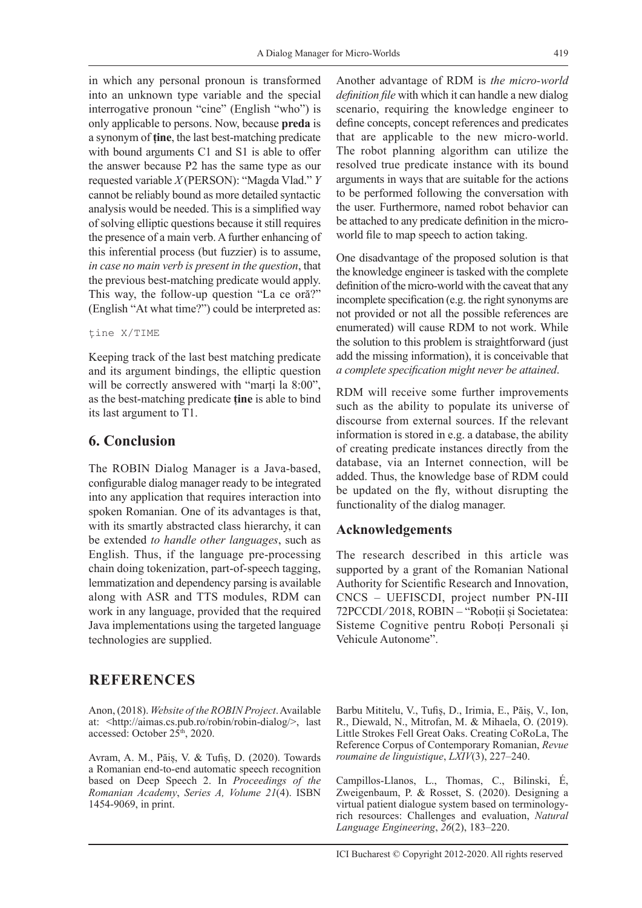in which any personal pronoun is transformed into an unknown type variable and the special interrogative pronoun "cine" (English "who") is only applicable to persons. Now, because **preda** is a synonym of **ține**, the last best-matching predicate with bound arguments C1 and S1 is able to offer the answer because P2 has the same type as our requested variable *X* (PERSON): "Magda Vlad." *Y* cannot be reliably bound as more detailed syntactic analysis would be needed. This is a simplified way of solving elliptic questions because it still requires the presence of a main verb. A further enhancing of this inferential process (but fuzzier) is to assume, *in case no main verb is present in the question*, that the previous best-matching predicate would apply. This way, the follow-up question "La ce oră?" (English "At what time?") could be interpreted as:

#### ține X/TIME

Keeping track of the last best matching predicate and its argument bindings, the elliptic question will be correctly answered with "marți la 8:00", as the best-matching predicate **ține** is able to bind its last argument to T1.

### **6. Conclusion**

The ROBIN Dialog Manager is a Java-based, configurable dialog manager ready to be integrated into any application that requires interaction into spoken Romanian. One of its advantages is that, with its smartly abstracted class hierarchy, it can be extended *to handle other languages*, such as English. Thus, if the language pre-processing chain doing tokenization, part-of-speech tagging, lemmatization and dependency parsing is available along with ASR and TTS modules, RDM can work in any language, provided that the required Java implementations using the targeted language technologies are supplied.

# **REFERENCES**

Anon, (2018). *Website of the ROBIN Project*. Available at: <http://aimas.cs.pub.ro/robin/robin-dialog/>, last accessed: October 25<sup>th</sup>, 2020.

Avram, A. M., Păiș, V. & Tufiș, D. (2020). Towards a Romanian end-to-end automatic speech recognition based on Deep Speech 2. In *Proceedings of the Romanian Academy*, *Series A, Volume 21*(4). ISBN 1454-9069, in print.

Another advantage of RDM is *the micro-world definition file* with which it can handle a new dialog scenario, requiring the knowledge engineer to define concepts, concept references and predicates that are applicable to the new micro-world. The robot planning algorithm can utilize the resolved true predicate instance with its bound arguments in ways that are suitable for the actions to be performed following the conversation with the user. Furthermore, named robot behavior can be attached to any predicate definition in the microworld file to map speech to action taking.

One disadvantage of the proposed solution is that the knowledge engineer is tasked with the complete definition of the micro-world with the caveat that any incomplete specification (e.g. the right synonyms are not provided or not all the possible references are enumerated) will cause RDM to not work. While the solution to this problem is straightforward (just add the missing information), it is conceivable that *a complete specification might never be attained*.

RDM will receive some further improvements such as the ability to populate its universe of discourse from external sources. If the relevant information is stored in e.g. a database, the ability of creating predicate instances directly from the database, via an Internet connection, will be added. Thus, the knowledge base of RDM could be updated on the fly, without disrupting the functionality of the dialog manager.

#### **Acknowledgements**

The research described in this article was supported by a grant of the Romanian National Authority for Scientific Research and Innovation, CNCS – UEFISCDI, project number PN-III 72PCCDI/2018, ROBIN - "Roboții și Societatea: Sisteme Cognitive pentru Roboți Personali și Vehicule Autonome".

Barbu Mititelu, V., Tufiș, D., Irimia, E., Păiș, V., Ion, R., Diewald, N., Mitrofan, M. & Mihaela, O. (2019). Little Strokes Fell Great Oaks. Creating CoRoLa, The Reference Corpus of Contemporary Romanian, *Revue roumaine de linguistique*, *LXIV*(3), 227–240.

Campillos-Llanos, L., Thomas, C., Bilinski, É, Zweigenbaum, P. & Rosset, S. (2020). Designing a virtual patient dialogue system based on terminologyrich resources: Challenges and evaluation, *Natural Language Engineering*, *26*(2), 183–220.